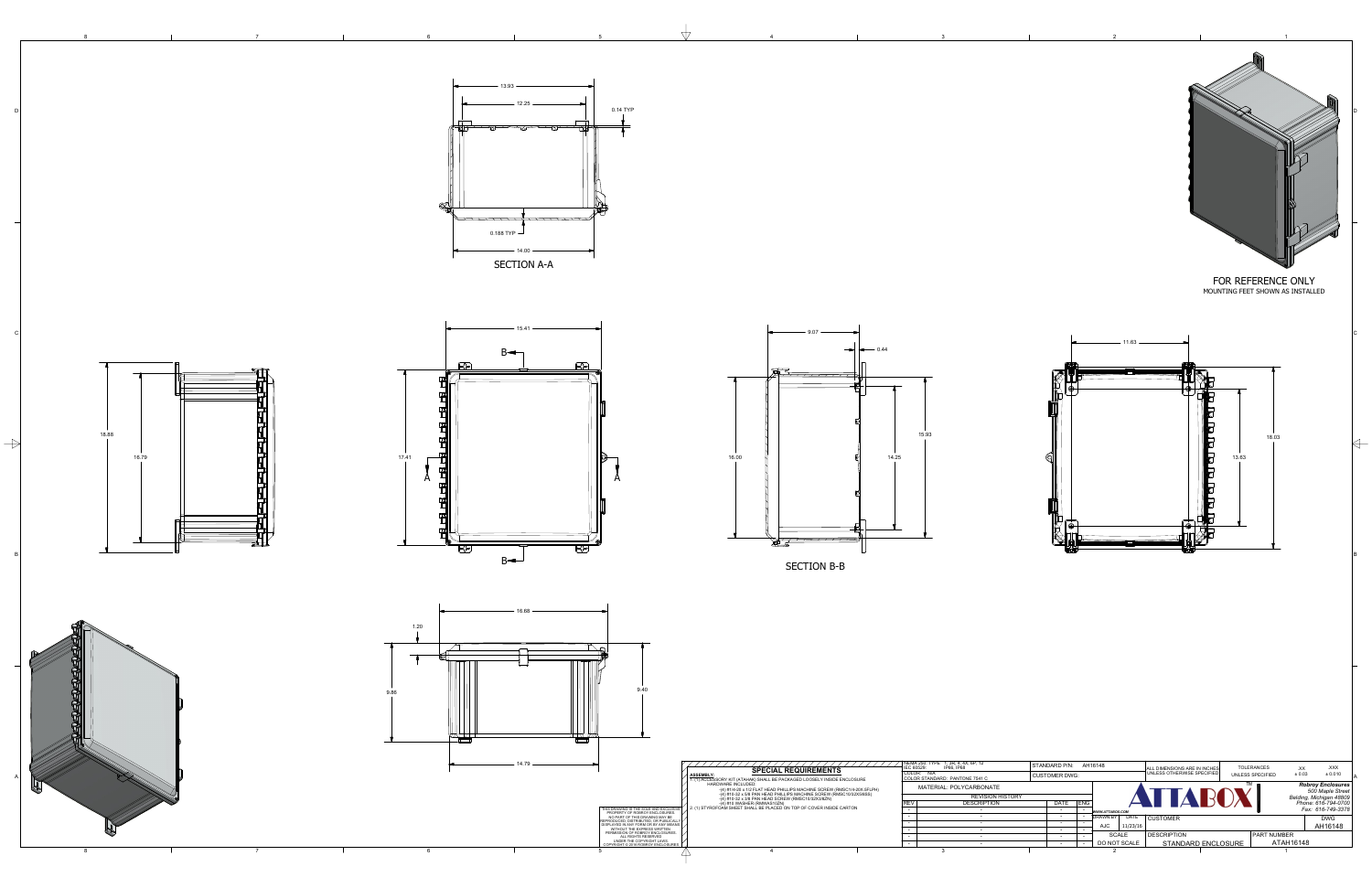